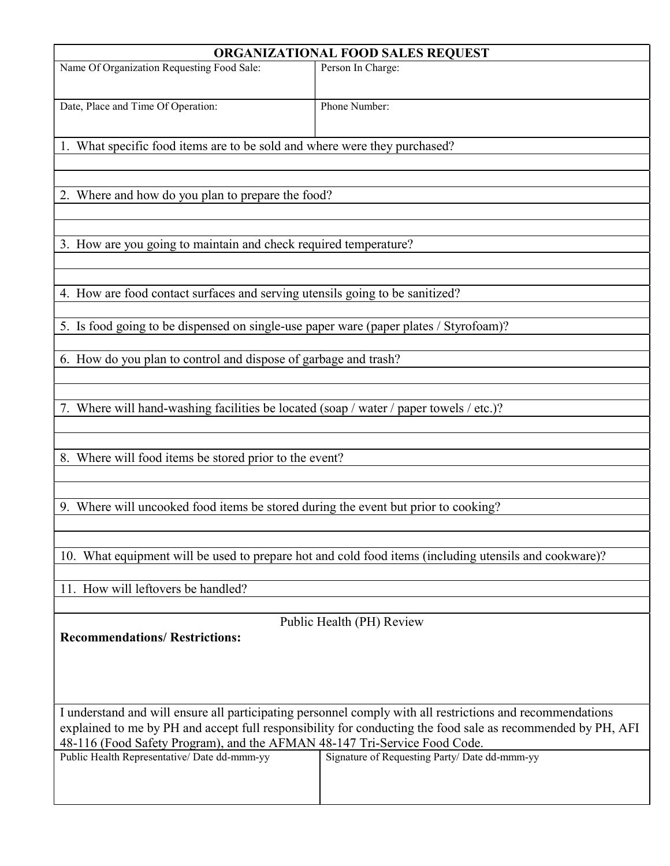| ORGANIZATIONAL FOOD SALES REQUEST                                                                                                                                                                                                                                                                                                                                                                      |                   |
|--------------------------------------------------------------------------------------------------------------------------------------------------------------------------------------------------------------------------------------------------------------------------------------------------------------------------------------------------------------------------------------------------------|-------------------|
| Name Of Organization Requesting Food Sale:                                                                                                                                                                                                                                                                                                                                                             | Person In Charge: |
| Date, Place and Time Of Operation:                                                                                                                                                                                                                                                                                                                                                                     | Phone Number:     |
| 1. What specific food items are to be sold and where were they purchased?                                                                                                                                                                                                                                                                                                                              |                   |
| 2. Where and how do you plan to prepare the food?                                                                                                                                                                                                                                                                                                                                                      |                   |
| 3. How are you going to maintain and check required temperature?                                                                                                                                                                                                                                                                                                                                       |                   |
| 4. How are food contact surfaces and serving utensils going to be sanitized?                                                                                                                                                                                                                                                                                                                           |                   |
| 5. Is food going to be dispensed on single-use paper ware (paper plates / Styrofoam)?                                                                                                                                                                                                                                                                                                                  |                   |
| 6. How do you plan to control and dispose of garbage and trash?                                                                                                                                                                                                                                                                                                                                        |                   |
| 7. Where will hand-washing facilities be located (soap / water / paper towels / etc.)?                                                                                                                                                                                                                                                                                                                 |                   |
| 8. Where will food items be stored prior to the event?                                                                                                                                                                                                                                                                                                                                                 |                   |
| 9. Where will uncooked food items be stored during the event but prior to cooking?                                                                                                                                                                                                                                                                                                                     |                   |
| 10. What equipment will be used to prepare hot and cold food items (including utensils and cookware)?                                                                                                                                                                                                                                                                                                  |                   |
| 11. How will leftovers be handled?                                                                                                                                                                                                                                                                                                                                                                     |                   |
| Public Health (PH) Review<br><b>Recommendations/ Restrictions:</b>                                                                                                                                                                                                                                                                                                                                     |                   |
| I understand and will ensure all participating personnel comply with all restrictions and recommendations<br>explained to me by PH and accept full responsibility for conducting the food sale as recommended by PH, AFI<br>48-116 (Food Safety Program), and the AFMAN 48-147 Tri-Service Food Code.<br>Signature of Requesting Party/ Date dd-mmm-yy<br>Public Health Representative/ Date dd-mmm-yy |                   |
|                                                                                                                                                                                                                                                                                                                                                                                                        |                   |